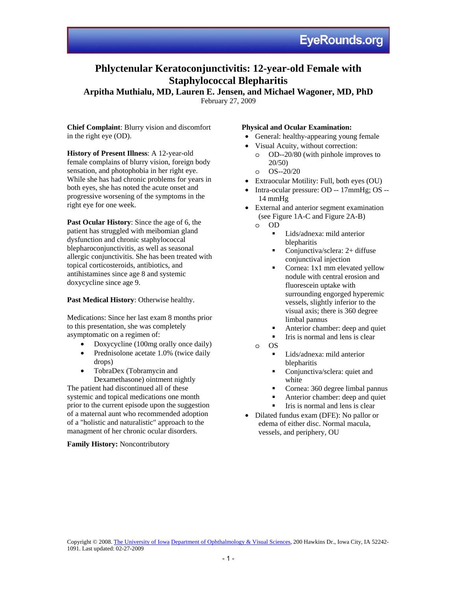# **Phlyctenular Keratoconjunctivitis: 12-year-old Female with Staphylococcal Blepharitis**

**Arpitha Muthialu, MD, Lauren E. Jensen, and Michael Wagoner, MD, PhD** 

February 27, 2009

**Chief Complaint**: Blurry vision and discomfort in the right eye (OD).

**History of Present Illness**: A 12-year-old female complains of blurry vision, foreign body sensation, and photophobia in her right eye. While she has had chronic problems for years in both eyes, she has noted the acute onset and progressive worsening of the symptoms in the right eye for one week.

**Past Ocular History**: Since the age of 6, the patient has struggled with meibomian gland dysfunction and chronic staphylococcal blepharoconjunctivitis, as well as seasonal allergic conjunctivitis. She has been treated with topical corticosteroids, antibiotics, and antihistamines since age 8 and systemic doxycycline since age 9.

## **Past Medical History**: Otherwise healthy.

Medications: Since her last exam 8 months prior to this presentation, she was completely asymptomatic on a regimen of:

- Doxycycline (100mg orally once daily)
- Prednisolone acetate 1.0% (twice daily drops)
- TobraDex (Tobramycin and Dexamethasone) ointment nightly

The patient had discontinued all of these systemic and topical medications one month prior to the current episode upon the suggestion of a maternal aunt who recommended adoption of a "holistic and naturalistic" approach to the managment of her chronic ocular disorders.

## **Family History:** Noncontributory

## **Physical and Ocular Examination:**

- General: healthy-appearing young female
- Visual Acuity, without correction:
	- o OD--20/80 (with pinhole improves to 20/50)
	- o OS--20/20
- Extraocular Motility: Full, both eyes (OU)
- Intra-ocular pressure: OD -- 17mmHg; OS -- 14 mmHg
- External and anterior segment examination (see Figure 1A-C and Figure 2A-B)
	- o OD
		- **Lids/adnexa:** mild anterior blepharitis
		- Conjunctiva/sclera:  $2+$  diffuse conjunctival injection
		- Cornea: 1x1 mm elevated yellow nodule with central erosion and fluorescein uptake with surrounding engorged hyperemic vessels, slightly inferior to the visual axis; there is 360 degree limbal pannus
		- Anterior chamber: deep and quiet
		- $\blacksquare$  Iris is normal and lens is clear
	- o OS
		- Lids/adnexa: mild anterior blepharitis
		- Conjunctiva/sclera: quiet and white
		- Cornea: 360 degree limbal pannus
		- Anterior chamber: deep and quiet
		- Iris is normal and lens is clear
- Dilated fundus exam (DFE): No pallor or edema of either disc. Normal macula, vessels, and periphery, OU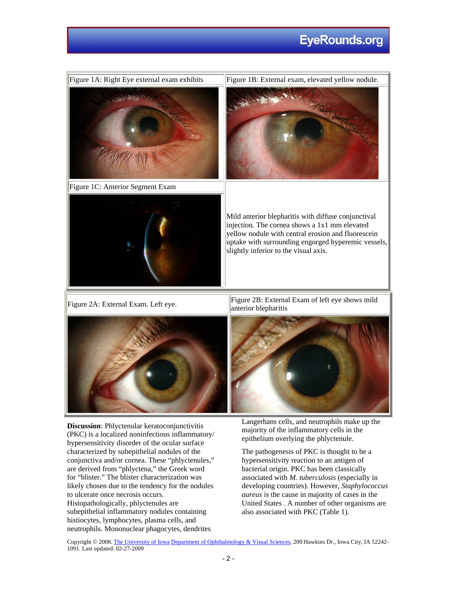# **EyeRounds.org**



(PKC) is a localized noninfectious inflammatory/ hypersensitivity disorder of the ocular surface characterized by subepithelial nodules of the conjunctiva and/or cornea. These "phlyctenules," are derived from "phlyctena," the Greek word for "blister." The blister characterization was likely chosen due to the tendency for the nodules to ulcerate once necrosis occurs. Histopathologically, phlyctenules are subepithelial inflammatory nodules containing histiocytes, lymphocytes, plasma cells, and neutrophils. Mononuclear phagocytes, dendrites

majority of the inflammatory cells in the epithelium overlying the phlyctenule.

The pathogenesis of PKC is thought to be a hypersensitivity reaction to an antigen of bacterial origin. PKC has been classically associated with *M. tuberculosis* (especially in developing countries). However, *Staphylococcus aureus* is the cause in majority of cases in the United States . A number of other organisms are also associated with PKC (Table 1).

Copyright © 2008. The University of Iowa Department of Ophthalmology & Visual Sciences, 200 Hawkins Dr., Iowa City, IA 52242- 1091. Last updated: 02-27-2009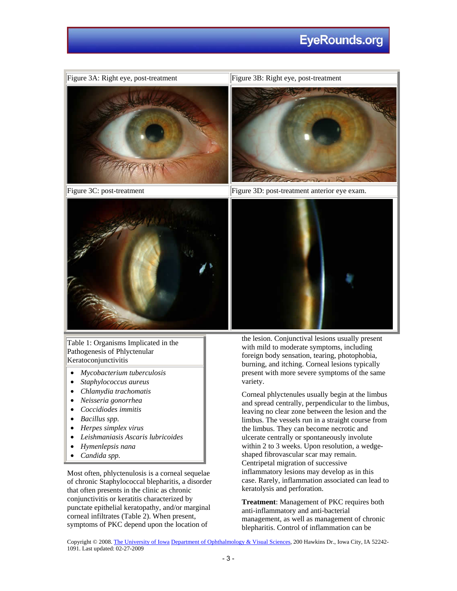# **EyeRounds.org**



Table 1: Organisms Implicated in the Pathogenesis of Phlyctenular Keratoconjunctivitis

- *Mycobacterium tuberculosis*
- *Staphylococcus aureus*
- *Chlamydia trachomatis*
- *Neisseria gonorrhea*
- *Coccidiodes immitis*
- *Bacillus spp.*
- *Herpes simplex virus*
- *Leishmaniasis Ascaris lubricoides*
- *Hymenlepsis nana*
- *Candida spp.*

Most often, phlyctenulosis is a corneal sequelae of chronic Staphylococcal blepharitis, a disorder that often presents in the clinic as chronic conjunctivitis or keratitis characterized by punctate epithelial keratopathy, and/or marginal corneal infiltrates (Table 2). When present, symptoms of PKC depend upon the location of

with mild to moderate symptoms, including foreign body sensation, tearing, photophobia, burning, and itching. Corneal lesions typically present with more severe symptoms of the same variety.

Corneal phlyctenules usually begin at the limbus and spread centrally, perpendicular to the limbus, leaving no clear zone between the lesion and the limbus. The vessels run in a straight course from the limbus. They can become necrotic and ulcerate centrally or spontaneously involute within 2 to 3 weeks. Upon resolution, a wedgeshaped fibrovascular scar may remain. Centripetal migration of successive inflammatory lesions may develop as in this case. Rarely, inflammation associated can lead to keratolysis and perforation.

**Treatment**: Management of PKC requires both anti-inflammatory and anti-bacterial management, as well as management of chronic blepharitis. Control of inflammation can be